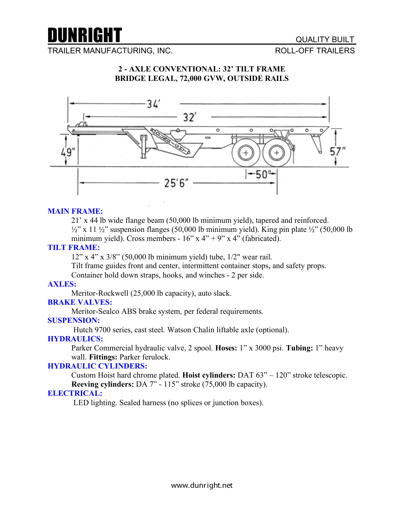

TRAILER MANUFACTURING, INC. THE STATE ROLL-OFF TRAILERS

# **2 - AXLE CONVENTIONAL: 32' TILT FRAME BRIDGE LEGAL, 72,000 GVW, OUTSIDE RAILS**



#### **MAIN FRAME:**

21' x 44 lb wide flange beam (50,000 lb minimum yield), tapered and reinforced.

 $\frac{1}{2}$ " x 11  $\frac{1}{2}$ " suspension flanges (50,000 lb minimum yield). King pin plate  $\frac{1}{2}$ " (50,000 lb) minimum yield). Cross members -  $16$ " x  $4$ " + 9" x  $4$ " (fabricated).

#### **TILT FRAME:**

12" x 4" x 3/8" (50,000 lb minimum yield) tube, 1/2" wear rail.

Tilt frame guides front and center, intermittent container stops, and safety props.

Container hold down straps, hooks, and winches - 2 per side.

#### **AXLES:**

Meritor-Rockwell (25,000 lb capacity), auto slack.

# **BRAKE VALVES:**

Meritor-Sealco ABS brake system, per federal requirements.

#### **SUSPENSION:**

Hutch 9700 series, cast steel. Watson Chalin liftable axle (optional).

#### **HYDRAULICS:**

Parker Commercial hydraulic valve, 2 spool. **Hoses:** 1" x 3000 psi. **Tubing:** 1" heavy wall. **Fittings:** Parker ferulock.

#### **HYDRAULIC CYLINDERS:**

Custom Hoist hard chrome plated. **Hoist cylinders:** DAT 63" – 120" stroke telescopic. **Reeving cylinders:** DA 7" - 115" stroke (75,000 lb capacity).

#### **ELECTRICAL:**

LED lighting. Sealed harness (no splices or junction boxes).